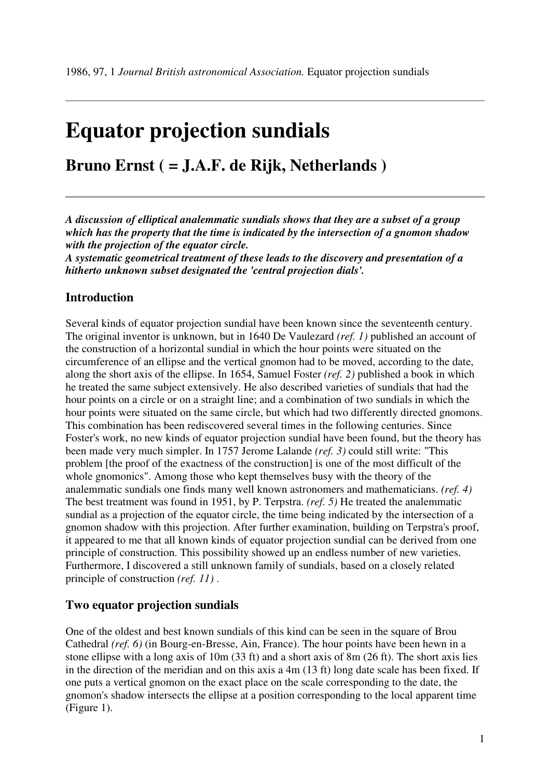# **Equator projection sundials**

# **Bruno Ernst ( = J.A.F. de Rijk, Netherlands )**

*A discussion of elliptical analemmatic sundials shows that they are a subset of a group which has the property that the time is indicated by the intersection of a gnomon shadow with the projection of the equator circle.* 

*A systematic geometrical treatment of these leads to the discovery and presentation of a hitherto unknown subset designated the 'central projection dials'.*

# **Introduction**

Several kinds of equator projection sundial have been known since the seventeenth century. The original inventor is unknown, but in 1640 De Vaulezard *(ref. 1)* published an account of the construction of a horizontal sundial in which the hour points were situated on the circumference of an ellipse and the vertical gnomon had to be moved, according to the date, along the short axis of the ellipse. In 1654, Samuel Foster *(ref. 2)* published a book in which he treated the same subject extensively. He also described varieties of sundials that had the hour points on a circle or on a straight line; and a combination of two sundials in which the hour points were situated on the same circle, but which had two differently directed gnomons. This combination has been rediscovered several times in the following centuries. Since Foster's work, no new kinds of equator projection sundial have been found, but the theory has been made very much simpler. In 1757 Jerome Lalande *(ref. 3)* could still write: "This problem [the proof of the exactness of the construction] is one of the most difficult of the whole gnomonics". Among those who kept themselves busy with the theory of the analemmatic sundials one finds many well known astronomers and mathematicians. *(ref. 4)* The best treatment was found in 1951, by P. Terpstra. *(ref. 5)* He treated the analemmatic sundial as a projection of the equator circle, the time being indicated by the intersection of a gnomon shadow with this projection. After further examination, building on Terpstra's proof, it appeared to me that all known kinds of equator projection sundial can be derived from one principle of construction. This possibility showed up an endless number of new varieties. Furthermore, I discovered a still unknown family of sundials, based on a closely related principle of construction *(ref. 11)* .

#### **Two equator projection sundials**

One of the oldest and best known sundials of this kind can be seen in the square of Brou Cathedral *(ref. 6)* (in Bourg-en-Bresse, Ain, France). The hour points have been hewn in a stone ellipse with a long axis of 10m (33 ft) and a short axis of 8m (26 ft). The short axis lies in the direction of the meridian and on this axis a 4m (13 ft) long date scale has been fixed. If one puts a vertical gnomon on the exact place on the scale corresponding to the date, the gnomon's shadow intersects the ellipse at a position corresponding to the local apparent time (Figure 1).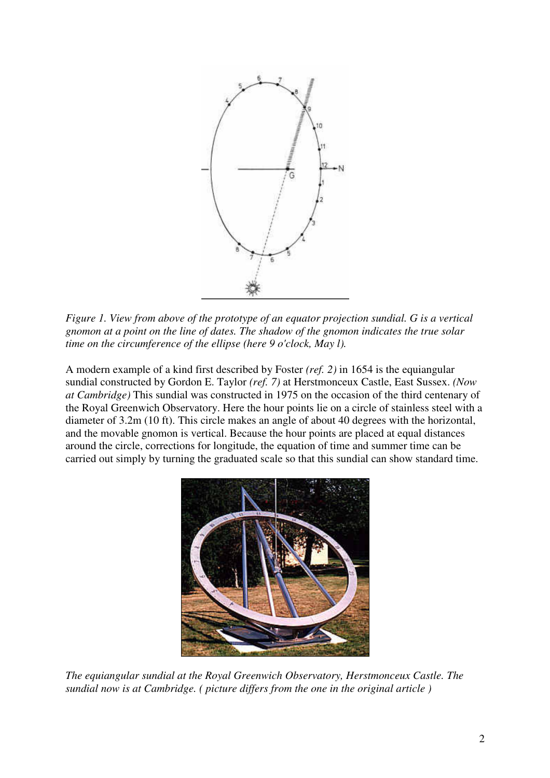

*Figure 1. View from above of the prototype of an equator projection sundial. G is a vertical gnomon at a point on the line of dates. The shadow of the gnomon indicates the true solar time on the circumference of the ellipse (here 9 o'clock, May l).*

A modern example of a kind first described by Foster *(ref. 2)* in 1654 is the equiangular sundial constructed by Gordon E. Taylor *(ref. 7)* at Herstmonceux Castle, East Sussex. *(Now at Cambridge)* This sundial was constructed in 1975 on the occasion of the third centenary of the Royal Greenwich Observatory. Here the hour points lie on a circle of stainless steel with a diameter of 3.2m (10 ft). This circle makes an angle of about 40 degrees with the horizontal, and the movable gnomon is vertical. Because the hour points are placed at equal distances around the circle, corrections for longitude, the equation of time and summer time can be carried out simply by turning the graduated scale so that this sundial can show standard time.



*The equiangular sundial at the Royal Greenwich Observatory, Herstmonceux Castle. The sundial now is at Cambridge. ( picture differs from the one in the original article )*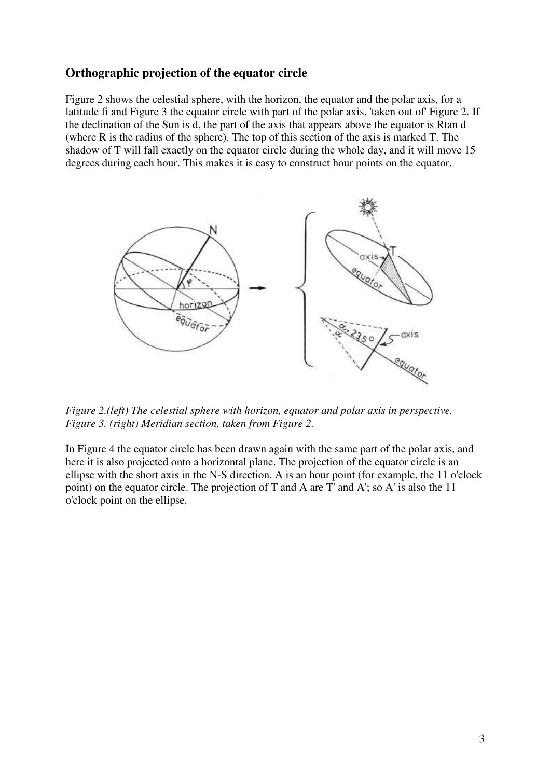# **Orthographic projection of the equator circle**

Figure 2 shows the celestial sphere, with the horizon, the equator and the polar axis, for a latitude fi and Figure 3 the equator circle with part of the polar axis, 'taken out of' Figure 2. If the declination of the Sun is d, the part of the axis that appears above the equator is Rtan d (where R is the radius of the sphere). The top of this section of the axis is marked T. The shadow of T will fall exactly on the equator circle during the whole day, and it will move 15 degrees during each hour. This makes it is easy to construct hour points on the equator.



*Figure 2.(left) The celestial sphere with horizon, equator and polar axis in perspective. Figure 3. (right) Meridian section, taken from Figure 2.*

In Figure 4 the equator circle has been drawn again with the same part of the polar axis, and here it is also projected onto a horizontal plane. The projection of the equator circle is an ellipse with the short axis in the N-S direction. A is an hour point (for example, the 11 o'clock point) on the equator circle. The projection of T and A are T' and A'; so A' is also the 11 o'clock point on the ellipse.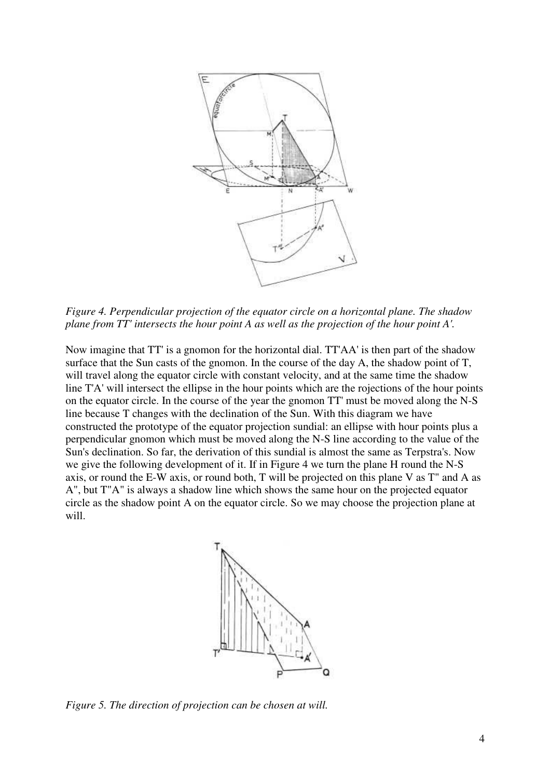

*Figure 4. Perpendicular projection of the equator circle on a horizontal plane. The shadow plane from TT' intersects the hour point A as well as the projection of the hour point A'.*

Now imagine that TT' is a gnomon for the horizontal dial. TT'AA' is then part of the shadow surface that the Sun casts of the gnomon. In the course of the day A, the shadow point of T, will travel along the equator circle with constant velocity, and at the same time the shadow line T'A' will intersect the ellipse in the hour points which are the rojections of the hour points on the equator circle. In the course of the year the gnomon TT' must be moved along the N-S line because T changes with the declination of the Sun. With this diagram we have constructed the prototype of the equator projection sundial: an ellipse with hour points plus a perpendicular gnomon which must be moved along the N-S line according to the value of the Sun's declination. So far, the derivation of this sundial is almost the same as Terpstra's. Now we give the following development of it. If in Figure 4 we turn the plane H round the N-S axis, or round the E-W axis, or round both, T will be projected on this plane V as T" and A as A", but T"A" is always a shadow line which shows the same hour on the projected equator circle as the shadow point A on the equator circle. So we may choose the projection plane at will.



*Figure 5. The direction of projection can be chosen at will.*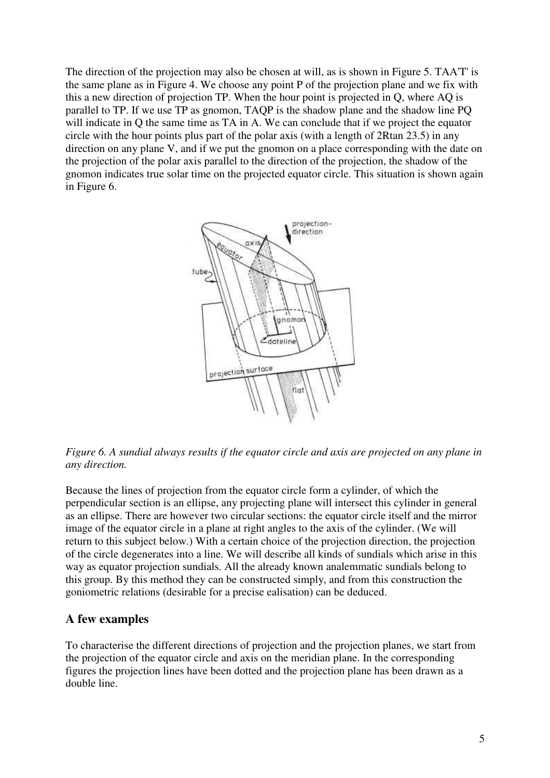The direction of the projection may also be chosen at will, as is shown in Figure 5. TAA'T' is the same plane as in Figure 4. We choose any point P of the projection plane and we fix with this a new direction of projection TP. When the hour point is projected in Q, where AQ is parallel to TP. If we use TP as gnomon, TAQP is the shadow plane and the shadow line PQ will indicate in Q the same time as TA in A. We can conclude that if we project the equator circle with the hour points plus part of the polar axis (with a length of 2Rtan 23.5) in any direction on any plane V, and if we put the gnomon on a place corresponding with the date on the projection of the polar axis parallel to the direction of the projection, the shadow of the gnomon indicates true solar time on the projected equator circle. This situation is shown again in Figure 6.



*Figure 6. A sundial always results if the equator circle and axis are projected on any plane in any direction.*

Because the lines of projection from the equator circle form a cylinder, of which the perpendicular section is an ellipse, any projecting plane will intersect this cylinder in general as an ellipse. There are however two circular sections: the equator circle itself and the mirror image of the equator circle in a plane at right angles to the axis of the cylinder. (We will return to this subject below.) With a certain choice of the projection direction, the projection of the circle degenerates into a line. We will describe all kinds of sundials which arise in this way as equator projection sundials. All the already known analemmatic sundials belong to this group. By this method they can be constructed simply, and from this construction the goniometric relations (desirable for a precise ealisation) can be deduced.

#### **A few examples**

To characterise the different directions of projection and the projection planes, we start from the projection of the equator circle and axis on the meridian plane. In the corresponding figures the projection lines have been dotted and the projection plane has been drawn as a double line.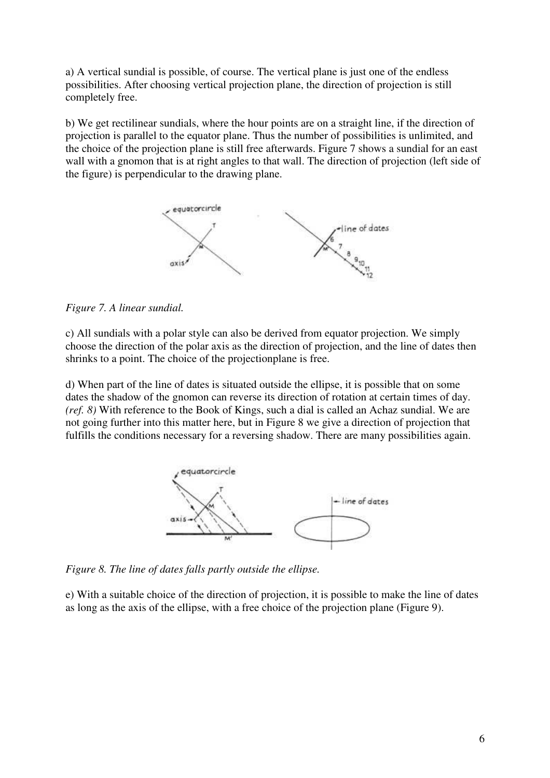a) A vertical sundial is possible, of course. The vertical plane is just one of the endless possibilities. After choosing vertical projection plane, the direction of projection is still completely free.

b) We get rectilinear sundials, where the hour points are on a straight line, if the direction of projection is parallel to the equator plane. Thus the number of possibilities is unlimited, and the choice of the projection plane is still free afterwards. Figure 7 shows a sundial for an east wall with a gnomon that is at right angles to that wall. The direction of projection (left side of the figure) is perpendicular to the drawing plane.



*Figure 7. A linear sundial.*

c) All sundials with a polar style can also be derived from equator projection. We simply choose the direction of the polar axis as the direction of projection, and the line of dates then shrinks to a point. The choice of the projectionplane is free.

d) When part of the line of dates is situated outside the ellipse, it is possible that on some dates the shadow of the gnomon can reverse its direction of rotation at certain times of day. *(ref. 8)* With reference to the Book of Kings, such a dial is called an Achaz sundial. We are not going further into this matter here, but in Figure 8 we give a direction of projection that fulfills the conditions necessary for a reversing shadow. There are many possibilities again.



*Figure 8. The line of dates falls partly outside the ellipse.*

e) With a suitable choice of the direction of projection, it is possible to make the line of dates as long as the axis of the ellipse, with a free choice of the projection plane (Figure 9).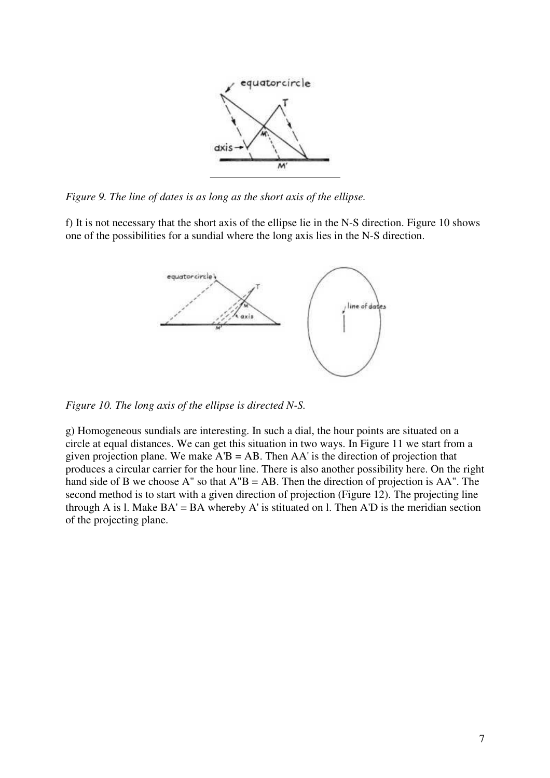

*Figure 9. The line of dates is as long as the short axis of the ellipse.*

f) It is not necessary that the short axis of the ellipse lie in the N-S direction. Figure 10 shows one of the possibilities for a sundial where the long axis lies in the N-S direction.



*Figure 10. The long axis of the ellipse is directed N-S.*

g) Homogeneous sundials are interesting. In such a dial, the hour points are situated on a circle at equal distances. We can get this situation in two ways. In Figure 11 we start from a given projection plane. We make  $A'B = AB$ . Then  $AA'$  is the direction of projection that produces a circular carrier for the hour line. There is also another possibility here. On the right hand side of B we choose  $A''$  so that  $A''B = AB$ . Then the direction of projection is  $AA''$ . The second method is to start with a given direction of projection (Figure 12). The projecting line through A is l. Make  $BA' = BA$  whereby A' is stituated on l. Then  $A'D$  is the meridian section of the projecting plane.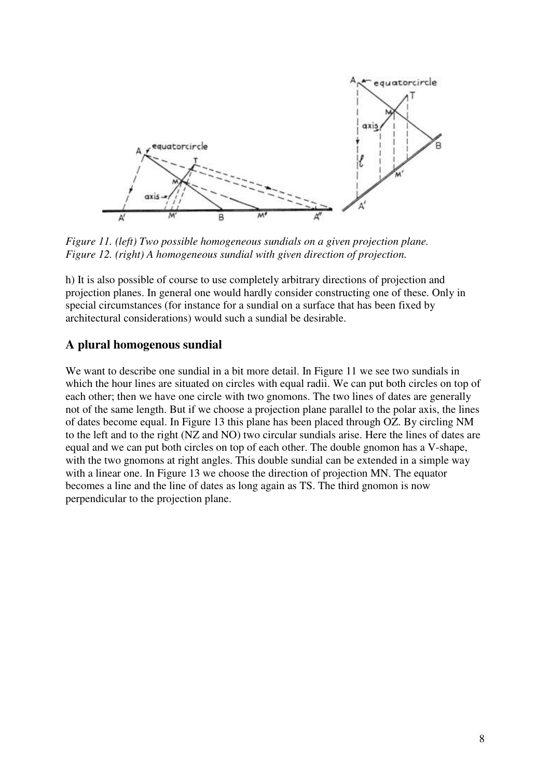

*Figure 11. (left) Two possible homogeneous sundials on a given projection plane. Figure 12. (right) A homogeneous sundial with given direction of projection.*

h) It is also possible of course to use completely arbitrary directions of projection and projection planes. In general one would hardly consider constructing one of these. Only in special circumstances (for instance for a sundial on a surface that has been fixed by architectural considerations) would such a sundial be desirable.

# **A plural homogenous sundial**

We want to describe one sundial in a bit more detail. In Figure 11 we see two sundials in which the hour lines are situated on circles with equal radii. We can put both circles on top of each other; then we have one circle with two gnomons. The two lines of dates are generally not of the same length. But if we choose a projection plane parallel to the polar axis, the lines of dates become equal. In Figure 13 this plane has been placed through OZ. By circling NM to the left and to the right (NZ and NO) two circular sundials arise. Here the lines of dates are equal and we can put both circles on top of each other. The double gnomon has a V-shape, with the two gnomons at right angles. This double sundial can be extended in a simple way with a linear one. In Figure 13 we choose the direction of projection MN. The equator becomes a line and the line of dates as long again as TS. The third gnomon is now perpendicular to the projection plane.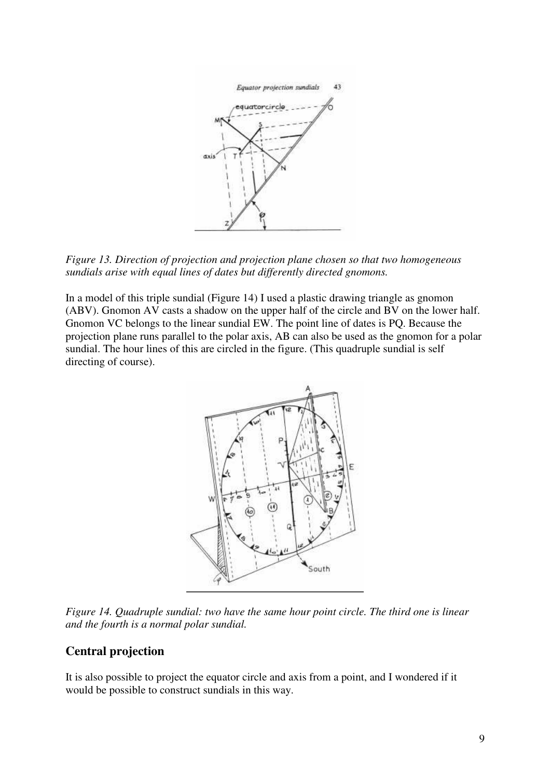

*Figure 13. Direction of projection and projection plane chosen so that two homogeneous sundials arise with equal lines of dates but differently directed gnomons.*

In a model of this triple sundial (Figure 14) I used a plastic drawing triangle as gnomon (ABV). Gnomon AV casts a shadow on the upper half of the circle and BV on the lower half. Gnomon VC belongs to the linear sundial EW. The point line of dates is PQ. Because the projection plane runs parallel to the polar axis, AB can also be used as the gnomon for a polar sundial. The hour lines of this are circled in the figure. (This quadruple sundial is self directing of course).



*Figure 14. Quadruple sundial: two have the same hour point circle. The third one is linear and the fourth is a normal polar sundial.*

#### **Central projection**

It is also possible to project the equator circle and axis from a point, and I wondered if it would be possible to construct sundials in this way.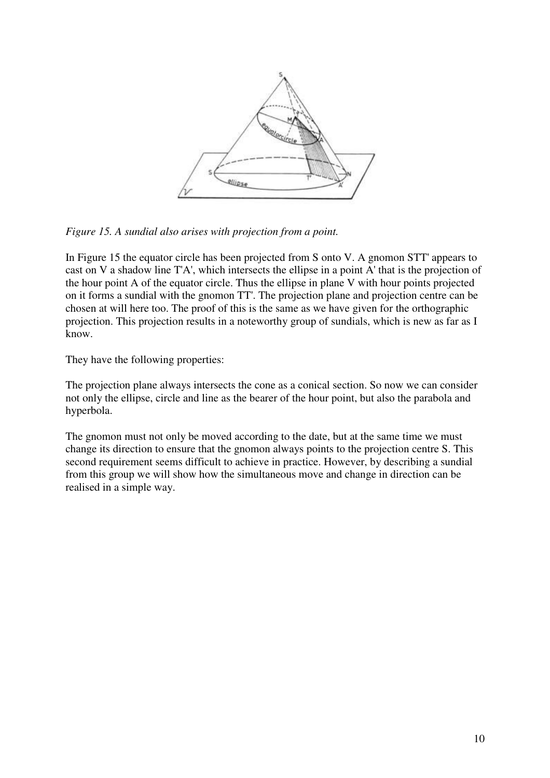

*Figure 15. A sundial also arises with projection from a point.*

In Figure 15 the equator circle has been projected from S onto V. A gnomon STT' appears to cast on V a shadow line T'A', which intersects the ellipse in a point A' that is the projection of the hour point A of the equator circle. Thus the ellipse in plane V with hour points projected on it forms a sundial with the gnomon TT'. The projection plane and projection centre can be chosen at will here too. The proof of this is the same as we have given for the orthographic projection. This projection results in a noteworthy group of sundials, which is new as far as I know.

They have the following properties:

The projection plane always intersects the cone as a conical section. So now we can consider not only the ellipse, circle and line as the bearer of the hour point, but also the parabola and hyperbola.

The gnomon must not only be moved according to the date, but at the same time we must change its direction to ensure that the gnomon always points to the projection centre S. This second requirement seems difficult to achieve in practice. However, by describing a sundial from this group we will show how the simultaneous move and change in direction can be realised in a simple way.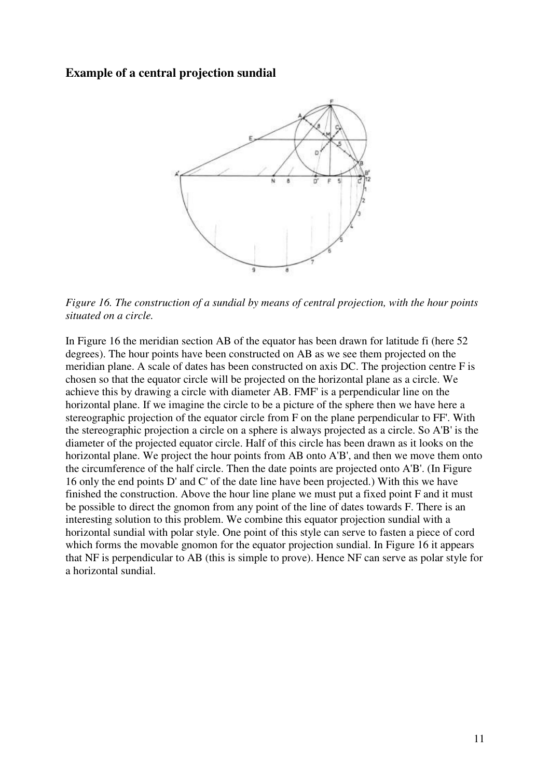#### **Example of a central projection sundial**



*Figure 16. The construction of a sundial by means of central projection, with the hour points situated on a circle.*

In Figure 16 the meridian section AB of the equator has been drawn for latitude fi (here 52 degrees). The hour points have been constructed on AB as we see them projected on the meridian plane. A scale of dates has been constructed on axis DC. The projection centre F is chosen so that the equator circle will be projected on the horizontal plane as a circle. We achieve this by drawing a circle with diameter AB. FMF' is a perpendicular line on the horizontal plane. If we imagine the circle to be a picture of the sphere then we have here a stereographic projection of the equator circle from F on the plane perpendicular to FF'. With the stereographic projection a circle on a sphere is always projected as a circle. So A'B' is the diameter of the projected equator circle. Half of this circle has been drawn as it looks on the horizontal plane. We project the hour points from AB onto A'B', and then we move them onto the circumference of the half circle. Then the date points are projected onto A'B'. (In Figure 16 only the end points D' and C' of the date line have been projected.) With this we have finished the construction. Above the hour line plane we must put a fixed point F and it must be possible to direct the gnomon from any point of the line of dates towards F. There is an interesting solution to this problem. We combine this equator projection sundial with a horizontal sundial with polar style. One point of this style can serve to fasten a piece of cord which forms the movable gnomon for the equator projection sundial. In Figure 16 it appears that NF is perpendicular to AB (this is simple to prove). Hence NF can serve as polar style for a horizontal sundial.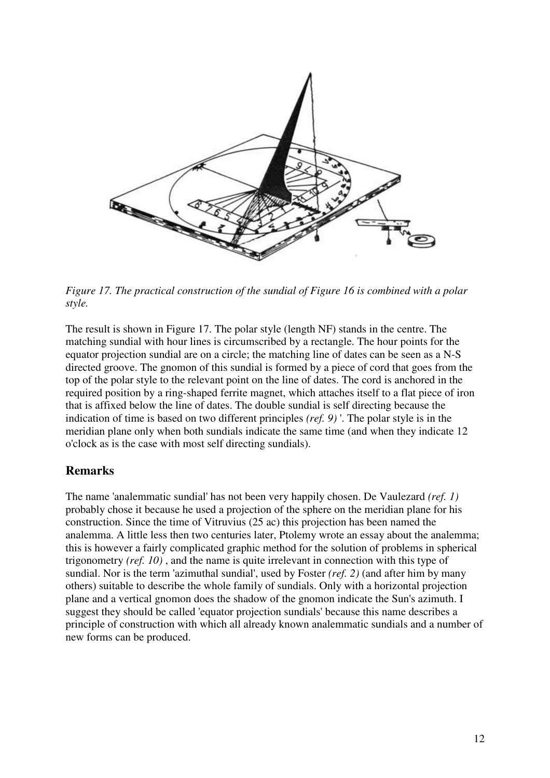

*Figure 17. The practical construction of the sundial of Figure 16 is combined with a polar style.*

The result is shown in Figure 17. The polar style (length NF) stands in the centre. The matching sundial with hour lines is circumscribed by a rectangle. The hour points for the equator projection sundial are on a circle; the matching line of dates can be seen as a N-S directed groove. The gnomon of this sundial is formed by a piece of cord that goes from the top of the polar style to the relevant point on the line of dates. The cord is anchored in the required position by a ring-shaped ferrite magnet, which attaches itself to a flat piece of iron that is affixed below the line of dates. The double sundial is self directing because the indication of time is based on two different principles *(ref. 9)* '. The polar style is in the meridian plane only when both sundials indicate the same time (and when they indicate 12 o'clock as is the case with most self directing sundials).

#### **Remarks**

The name 'analemmatic sundial' has not been very happily chosen. De Vaulezard *(ref. 1)* probably chose it because he used a projection of the sphere on the meridian plane for his construction. Since the time of Vitruvius (25 ac) this projection has been named the analemma. A little less then two centuries later, Ptolemy wrote an essay about the analemma; this is however a fairly complicated graphic method for the solution of problems in spherical trigonometry *(ref. 10)* , and the name is quite irrelevant in connection with this type of sundial. Nor is the term 'azimuthal sundial', used by Foster *(ref. 2)* (and after him by many others) suitable to describe the whole family of sundials. Only with a horizontal projection plane and a vertical gnomon does the shadow of the gnomon indicate the Sun's azimuth. I suggest they should be called 'equator projection sundials' because this name describes a principle of construction with which all already known analemmatic sundials and a number of new forms can be produced.